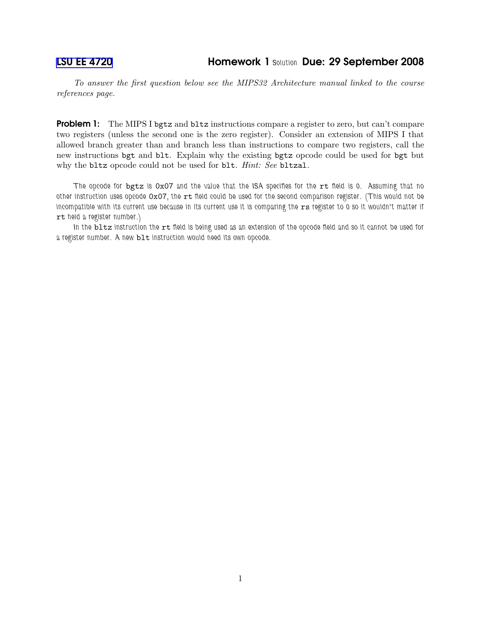To answer the first question below see the MIPS32 Architecture manual linked to the course references page.

**Problem 1:** The MIPS I bgtz and bltz instructions compare a register to zero, but can't compare two registers (unless the second one is the zero register). Consider an extension of MIPS I that allowed branch greater than and branch less than instructions to compare two registers, call the new instructions bgt and blt. Explain why the existing bgtz opcode could be used for bgt but why the bltz opcode could not be used for blt. Hint: See bltzal.

The opcode for bgtz is 0x07 and the value that the ISA specifies for the rt field is 0. Assuming that no other instruction uses opcode OxO7, the rt field could be used for the second comparison register. (This would not be incompatible with its current use because in its current use it is comparing the rs register to 0 so it wouldn't matter if rt held a register number.)

In the bltz instruction the rt field is being used as an extension of the opcode field and so it cannot be used for a register number. A new blt instruction would need its own opcode.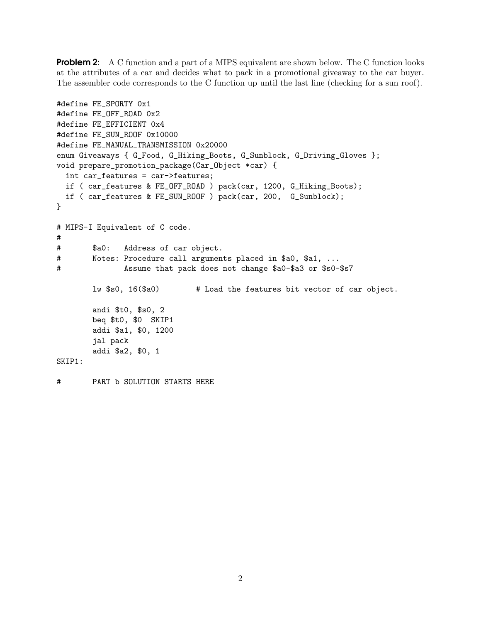**Problem 2:** A C function and a part of a MIPS equivalent are shown below. The C function looks at the attributes of a car and decides what to pack in a promotional giveaway to the car buyer. The assembler code corresponds to the C function up until the last line (checking for a sun roof).

```
#define FE_SPORTY 0x1
#define FE_OFF_ROAD 0x2
#define FE_EFFICIENT 0x4
#define FE_SUN_ROOF 0x10000
#define FE_MANUAL_TRANSMISSION 0x20000
enum Giveaways { G_Food, G_Hiking_Boots, G_Sunblock, G_Driving_Gloves };
void prepare_promotion_package(Car_Object *car) {
  int car_features = car->features;
 if ( car_features & FE_OFF_ROAD ) pack(car, 1200, G_Hiking_Boots);
 if ( car_features & FE_SUN_ROOF ) pack(car, 200, G_Sunblock);
}
# MIPS-I Equivalent of C code.
#
# $a0: Address of car object.
# Notes: Procedure call arguments placed in $a0, $a1, ...
# Assume that pack does not change $a0-$a3 or $s0-$s7
       lw $s0, 16($a0) # Load the features bit vector of car object.
       andi $t0, $s0, 2
       beq $t0, $0 SKIP1
       addi $a1, $0, 1200
       jal pack
       addi $a2, $0, 1
SKIP1:
```
# PART b SOLUTION STARTS HERE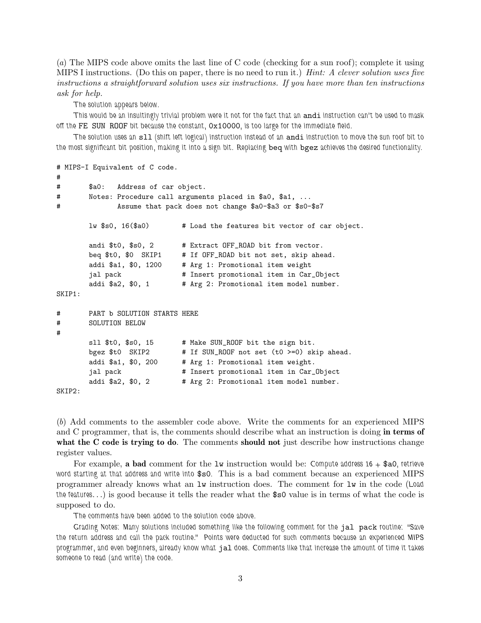(a) The MIPS code above omits the last line of C code (checking for a sun roof); complete it using MIPS I instructions. (Do this on paper, there is no need to run it.) Hint: A clever solution uses five instructions a straightforward solution uses six instructions. If you have more than ten instructions ask for help.

The solution appears below.

This would be an insultingly trivial problem were it not for the fact that an andi instruction can't be used to mask off the FE SUN ROOF bit because the constant, 0x10000, is too large for the immediate field.

The solution uses an s11 (shift left logical) instruction instead of an andi instruction to move the sun roof bit to the most significant bit position, making it into a sign bit. Replacing beq with bgez achieves the desired functionality.

```
# MIPS-I Equivalent of C code.
#
# $a0: Address of car object.
# Notes: Procedure call arguments placed in $a0, $a1, ...
# Assume that pack does not change $a0-$a3 or $s0-$s7
       lw $s0, 16($a0) # Load the features bit vector of car object.
       andi $t0, $s0, 2 # Extract OFF_ROAD bit from vector.
       beq $t0, $0 SKIP1 # If OFF_ROAD bit not set, skip ahead.
       addi $a1, $0, 1200 # Arg 1: Promotional item weight
       jal pack \qquad # Insert promotional item in Car_Object
       addi $a2, $0, 1 # Arg 2: Promotional item model number.
SKIP1:
# PART b SOLUTION STARTS HERE
# SOLUTION BELOW
#
       sll $t0, $s0, 15 # Make SUN_ROOF bit the sign bit.
       bgez $t0 SKIP2 # If SUN_ROOF not set (t0 >=0) skip ahead.
       addi $a1, $0, 200 # Arg 1: Promotional item weight.
       jal pack \qquad # Insert promotional item in Car_Object
       addi $a2, $0, 2   # Arg 2: Promotional item model number.
SKIP2:
```
(b) Add comments to the assembler code above. Write the comments for an experienced MIPS and C programmer, that is, the comments should describe what an instruction is doing in terms of what the C code is trying to do. The comments should not just describe how instructions change register values.

For example, a bad comment for the  $1w$  instruction would be: Compute address  $16 + $a0$ , retrieve word starting at that address and write into \$s0. This is a bad comment because an experienced MIPS programmer already knows what an lw instruction does. The comment for lw in the code (Load the features. . .) is good because it tells the reader what the \$s0 value is in terms of what the code is supposed to do.

The comments have been added to the solution code above.

Grading Notes: Many solutions included something like the following comment for the jal pack routine: "Save the return address and call the pack routine." Points were deducted for such comments because an experienced MIPS programmer, and even beginners, already know what jal does. Comments like that increase the amount of time it takes someone to read (and write) the code.